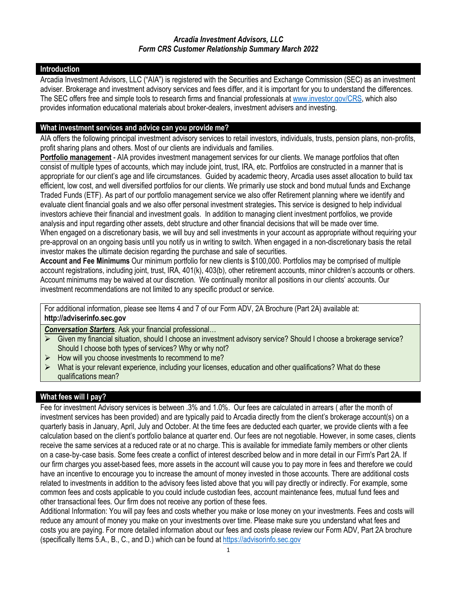### **Introduction**

Arcadia Investment Advisors, LLC ("AIA") is registered with the Securities and Exchange Commission (SEC) as an investment adviser. Brokerage and investment advisory services and fees differ, and it is important for you to understand the differences. The SEC offers free and simple tools to research firms and financial professionals a[t www.investor.gov/CRS,](http://www.investor.gov/CRS) which also provides information educational materials about broker-dealers, investment advisers and investing.

### **What investment services and advice can you provide me?**

AIA offers the following principal investment advisory services to retail investors, individuals, trusts, pension plans, non‐profits, profit sharing plans and others. Most of our clients are individuals and families.

**Portfolio management** - AIA provides investment management services for our clients. We manage portfolios that often consist of multiple types of accounts, which may include joint, trust, IRA, etc. Portfolios are constructed in a manner that is appropriate for our client's age and life circumstances. Guided by academic theory, Arcadia uses asset allocation to build tax efficient, low cost, and well diversified portfolios for our clients. We primarily use stock and bond mutual funds and Exchange Traded Funds (ETF). As part of our portfolio management service we also offer Retirement planning where we identify and evaluate client financial goals and we also offer personal investment strategies**.** This service is designed to help individual investors achieve their financial and investment goals. In addition to managing client investment portfolios, we provide analysis and input regarding other assets, debt structure and other financial decisions that will be made over time. When engaged on a discretionary basis, we will buy and sell investments in your account as appropriate without requiring your pre-approval on an ongoing basis until you notify us in writing to switch. When engaged in a non-discretionary basis the retail investor makes the ultimate decision regarding the purchase and sale of securities.

**Account and Fee Minimums** Our minimum portfolio for new clients is \$100,000. Portfolios may be comprised of multiple account registrations, including joint, trust, IRA, 401(k), 403(b), other retirement accounts, minor children's accounts or others. Account minimums may be waived at our discretion. We continually monitor all positions in our clients' accounts. Our investment recommendations are not limited to any specific product or service.

For additional information, please see Items 4 and 7 of our Form ADV, 2A Brochure (Part 2A) available at: **http://adviserinfo.sec.gov**

*Conversation Starters*. Ask your financial professional…

- Given my financial situation, should I choose an investment advisory service? Should I choose a brokerage service? Should I choose both types of services? Why or why not?
- $\triangleright$  How will you choose investments to recommend to me?
- $\triangleright$  What is your relevant experience, including your licenses, education and other qualifications? What do these qualifications mean?

# **What fees will I pay?**

Fee for investment Advisory services is between .3% and 1.0%. Our fees are calculated in arrears ( after the month of investment services has been provided) and are typically paid to Arcadia directly from the client's brokerage account(s) on a quarterly basis in January, April, July and October. At the time fees are deducted each quarter, we provide clients with a fee calculation based on the client's portfolio balance at quarter end. Our fees are not negotiable. However, in some cases, clients receive the same services at a reduced rate or at no charge. This is available for immediate family members or other clients on a case-by-case basis. Some fees create a conflict of interest described below and in more detail in our Firm's Part 2A. If our firm charges you asset-based fees, more assets in the account will cause you to pay more in fees and therefore we could have an incentive to encourage you to increase the amount of money invested in those accounts. There are additional costs related to investments in addition to the advisory fees listed above that you will pay directly or indirectly. For example, some common fees and costs applicable to you could include custodian fees, account maintenance fees, mutual fund fees and other transactional fees. Our firm does not receive any portion of these fees.

Additional Information: You will pay fees and costs whether you make or lose money on your investments. Fees and costs will reduce any amount of money you make on your investments over time. Please make sure you understand what fees and costs you are paying. For more detailed information about our fees and costs please review our Form ADV, Part 2A brochure (specifically Items 5.A., B., C., and D.) which can be found a[t https://advisorinfo.sec.gov](https://advisorinfo.sec.gov/)